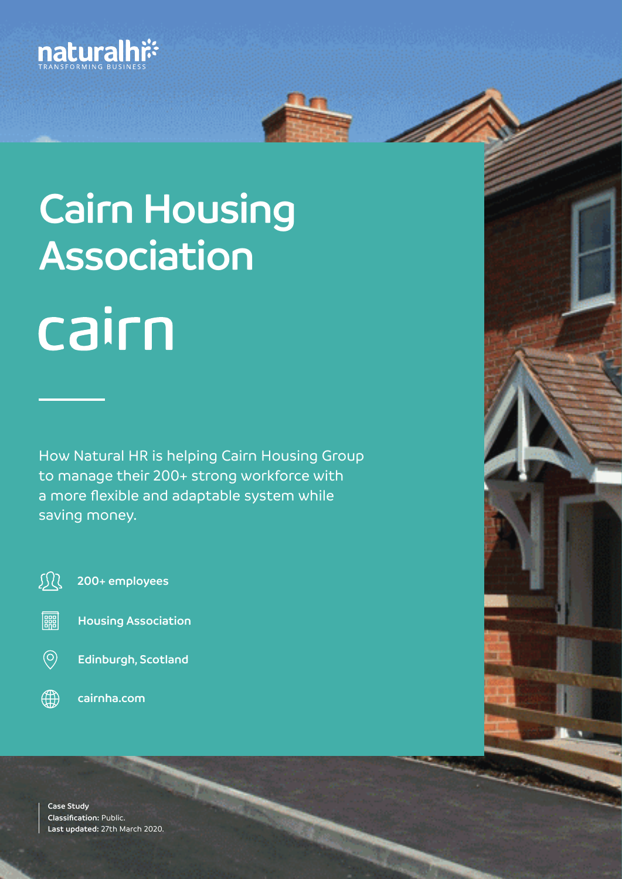



# **Cairn Housing Association** cairn

How Natural HR is helping Cairn Housing Group to manage their 200+ strong workforce with a more flexible and adaptable system while saving money.

观 **200+ employees**

- || **Housing Association**
- $\circledcirc$ **Edinburgh, Scotland**
- $\bigoplus$ **cairnha.com**

**Case Study Classification:** Public. **Last updated:** 27th March 2020.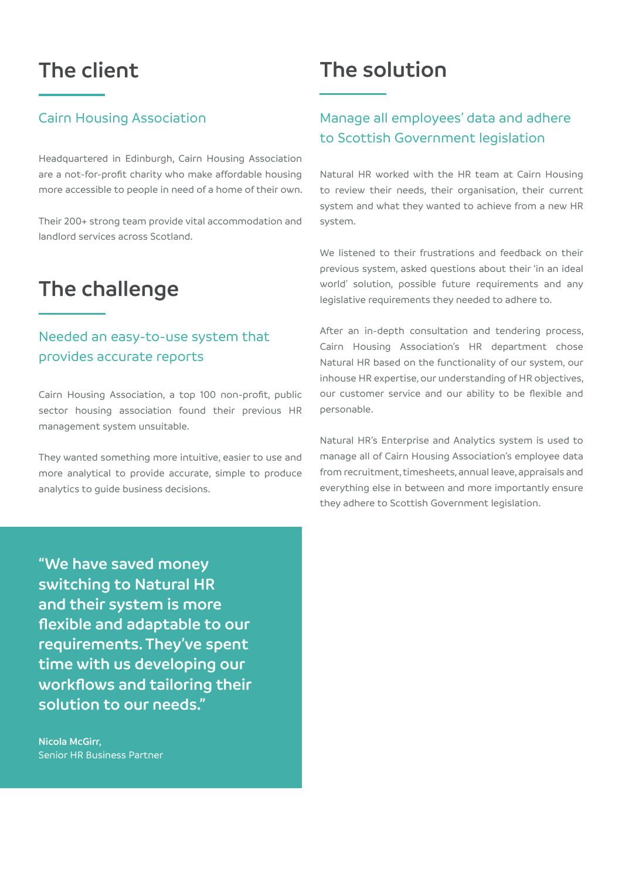## **The client**

#### Cairn Housing Association

Headquartered in Edinburgh, Cairn Housing Association are a not-for-profit charity who make affordable housing more accessible to people in need of a home of their own.

Their 200+ strong team provide vital accommodation and landlord services across Scotland.

## **The challenge**

#### Needed an easy-to-use system that provides accurate reports

Cairn Housing Association, a top 100 non-profit, public sector housing association found their previous HR management system unsuitable.

They wanted something more intuitive, easier to use and more analytical to provide accurate, simple to produce analytics to guide business decisions.

## **The solution**

#### Manage all employees' data and adhere to Scottish Government legislation

Natural HR worked with the HR team at Cairn Housing to review their needs, their organisation, their current system and what they wanted to achieve from a new HR system.

We listened to their frustrations and feedback on their previous system, asked questions about their 'in an ideal world' solution, possible future requirements and any legislative requirements they needed to adhere to.

After an in-depth consultation and tendering process, Cairn Housing Association's HR department chose Natural HR based on the functionality of our system, our inhouse HR expertise, our understanding of HR objectives, our customer service and our ability to be flexible and personable.

Natural HR's Enterprise and Analytics system is used to manage all of Cairn Housing Association's employee data from recruitment, timesheets, annual leave, appraisals and everything else in between and more importantly ensure they adhere to Scottish Government legislation.

**"We have saved money switching to Natural HR and their system is more flexible and adaptable to our requirements. They've spent time with us developing our workflows and tailoring their solution to our needs."**

**Nicola McGirr,**  Senior HR Business Partner